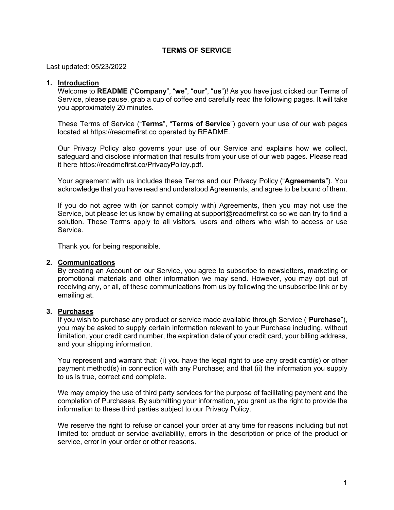## **TERMS OF SERVICE**

Last updated: 05/23/2022

#### **1. Introduction**

Welcome to **README** ("**Company**", "**we**", "**our**", "**us**")! As you have just clicked our Terms of Service, please pause, grab a cup of coffee and carefully read the following pages. It will take you approximately 20 minutes.

These Terms of Service ("**Terms**", "**Terms of Service**") govern your use of our web pages located at https://readmefirst.co operated by README.

Our Privacy Policy also governs your use of our Service and explains how we collect, safeguard and disclose information that results from your use of our web pages. Please read it here https://readmefirst.co/PrivacyPolicy.pdf.

Your agreement with us includes these Terms and our Privacy Policy ("**Agreements**"). You acknowledge that you have read and understood Agreements, and agree to be bound of them.

If you do not agree with (or cannot comply with) Agreements, then you may not use the Service, but please let us know by emailing at support@readmefirst.co so we can try to find a solution. These Terms apply to all visitors, users and others who wish to access or use Service.

Thank you for being responsible.

## **2. Communications**

By creating an Account on our Service, you agree to subscribe to newsletters, marketing or promotional materials and other information we may send. However, you may opt out of receiving any, or all, of these communications from us by following the unsubscribe link or by emailing at.

### **3. Purchases**

If you wish to purchase any product or service made available through Service ("**Purchase**"), you may be asked to supply certain information relevant to your Purchase including, without limitation, your credit card number, the expiration date of your credit card, your billing address, and your shipping information.

You represent and warrant that: (i) you have the legal right to use any credit card(s) or other payment method(s) in connection with any Purchase; and that (ii) the information you supply to us is true, correct and complete.

We may employ the use of third party services for the purpose of facilitating payment and the completion of Purchases. By submitting your information, you grant us the right to provide the information to these third parties subject to our Privacy Policy.

We reserve the right to refuse or cancel your order at any time for reasons including but not limited to: product or service availability, errors in the description or price of the product or service, error in your order or other reasons.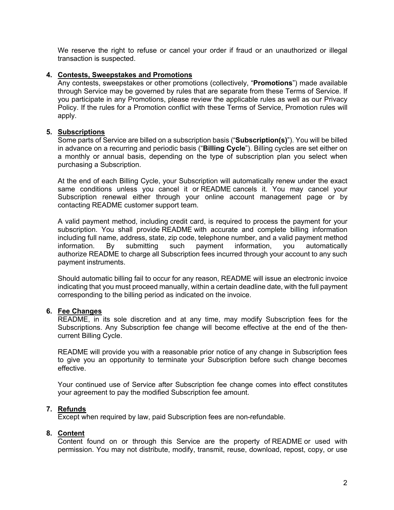We reserve the right to refuse or cancel your order if fraud or an unauthorized or illegal transaction is suspected.

## **4. Contests, Sweepstakes and Promotions**

Any contests, sweepstakes or other promotions (collectively, "**Promotions**") made available through Service may be governed by rules that are separate from these Terms of Service. If you participate in any Promotions, please review the applicable rules as well as our Privacy Policy. If the rules for a Promotion conflict with these Terms of Service, Promotion rules will apply.

## **5. Subscriptions**

Some parts of Service are billed on a subscription basis ("**Subscription(s)**"). You will be billed in advance on a recurring and periodic basis ("**Billing Cycle**"). Billing cycles are set either on a monthly or annual basis, depending on the type of subscription plan you select when purchasing a Subscription.

At the end of each Billing Cycle, your Subscription will automatically renew under the exact same conditions unless you cancel it or README cancels it. You may cancel your Subscription renewal either through your online account management page or by contacting README customer support team.

A valid payment method, including credit card, is required to process the payment for your subscription. You shall provide README with accurate and complete billing information including full name, address, state, zip code, telephone number, and a valid payment method information. By submitting such payment information, you automatically authorize README to charge all Subscription fees incurred through your account to any such payment instruments.

Should automatic billing fail to occur for any reason, README will issue an electronic invoice indicating that you must proceed manually, within a certain deadline date, with the full payment corresponding to the billing period as indicated on the invoice.

#### **6. Fee Changes**

README, in its sole discretion and at any time, may modify Subscription fees for the Subscriptions. Any Subscription fee change will become effective at the end of the thencurrent Billing Cycle.

README will provide you with a reasonable prior notice of any change in Subscription fees to give you an opportunity to terminate your Subscription before such change becomes effective.

Your continued use of Service after Subscription fee change comes into effect constitutes your agreement to pay the modified Subscription fee amount.

# **7. Refunds**

Except when required by law, paid Subscription fees are non-refundable.

# **8. Content**

Content found on or through this Service are the property of README or used with permission. You may not distribute, modify, transmit, reuse, download, repost, copy, or use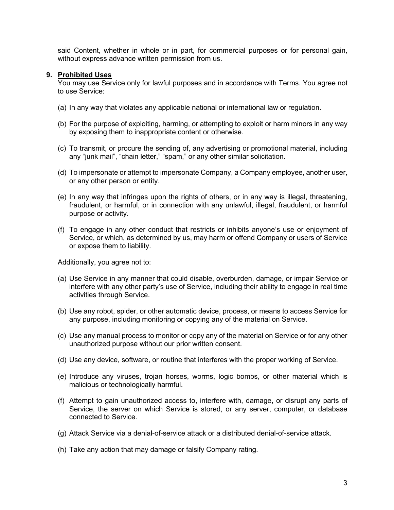said Content, whether in whole or in part, for commercial purposes or for personal gain, without express advance written permission from us.

## **9. Prohibited Uses**

You may use Service only for lawful purposes and in accordance with Terms. You agree not to use Service:

- (a) In any way that violates any applicable national or international law or regulation.
- (b) For the purpose of exploiting, harming, or attempting to exploit or harm minors in any way by exposing them to inappropriate content or otherwise.
- (c) To transmit, or procure the sending of, any advertising or promotional material, including any "junk mail", "chain letter," "spam," or any other similar solicitation.
- (d) To impersonate or attempt to impersonate Company, a Company employee, another user, or any other person or entity.
- (e) In any way that infringes upon the rights of others, or in any way is illegal, threatening, fraudulent, or harmful, or in connection with any unlawful, illegal, fraudulent, or harmful purpose or activity.
- (f) To engage in any other conduct that restricts or inhibits anyone's use or enjoyment of Service, or which, as determined by us, may harm or offend Company or users of Service or expose them to liability.

Additionally, you agree not to:

- (a) Use Service in any manner that could disable, overburden, damage, or impair Service or interfere with any other party's use of Service, including their ability to engage in real time activities through Service.
- (b) Use any robot, spider, or other automatic device, process, or means to access Service for any purpose, including monitoring or copying any of the material on Service.
- (c) Use any manual process to monitor or copy any of the material on Service or for any other unauthorized purpose without our prior written consent.
- (d) Use any device, software, or routine that interferes with the proper working of Service.
- (e) Introduce any viruses, trojan horses, worms, logic bombs, or other material which is malicious or technologically harmful.
- (f) Attempt to gain unauthorized access to, interfere with, damage, or disrupt any parts of Service, the server on which Service is stored, or any server, computer, or database connected to Service.
- (g) Attack Service via a denial-of-service attack or a distributed denial-of-service attack.
- (h) Take any action that may damage or falsify Company rating.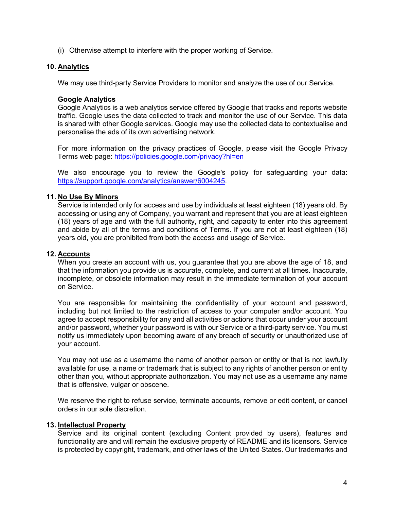(i) Otherwise attempt to interfere with the proper working of Service.

# **10. Analytics**

We may use third-party Service Providers to monitor and analyze the use of our Service.

### **Google Analytics**

Google Analytics is a web analytics service offered by Google that tracks and reports website traffic. Google uses the data collected to track and monitor the use of our Service. This data is shared with other Google services. Google may use the collected data to contextualise and personalise the ads of its own advertising network.

For more information on the privacy practices of Google, please visit the Google Privacy Terms web page: https://policies.google.com/privacy?hl=en

We also encourage you to review the Google's policy for safeguarding your data: https://support.google.com/analytics/answer/6004245.

## **11. No Use By Minors**

Service is intended only for access and use by individuals at least eighteen (18) years old. By accessing or using any of Company, you warrant and represent that you are at least eighteen (18) years of age and with the full authority, right, and capacity to enter into this agreement and abide by all of the terms and conditions of Terms. If you are not at least eighteen (18) years old, you are prohibited from both the access and usage of Service.

### **12. Accounts**

When you create an account with us, you guarantee that you are above the age of 18, and that the information you provide us is accurate, complete, and current at all times. Inaccurate, incomplete, or obsolete information may result in the immediate termination of your account on Service.

You are responsible for maintaining the confidentiality of your account and password, including but not limited to the restriction of access to your computer and/or account. You agree to accept responsibility for any and all activities or actions that occur under your account and/or password, whether your password is with our Service or a third-party service. You must notify us immediately upon becoming aware of any breach of security or unauthorized use of your account.

You may not use as a username the name of another person or entity or that is not lawfully available for use, a name or trademark that is subject to any rights of another person or entity other than you, without appropriate authorization. You may not use as a username any name that is offensive, vulgar or obscene.

We reserve the right to refuse service, terminate accounts, remove or edit content, or cancel orders in our sole discretion.

#### **13. Intellectual Property**

Service and its original content (excluding Content provided by users), features and functionality are and will remain the exclusive property of README and its licensors. Service is protected by copyright, trademark, and other laws of the United States. Our trademarks and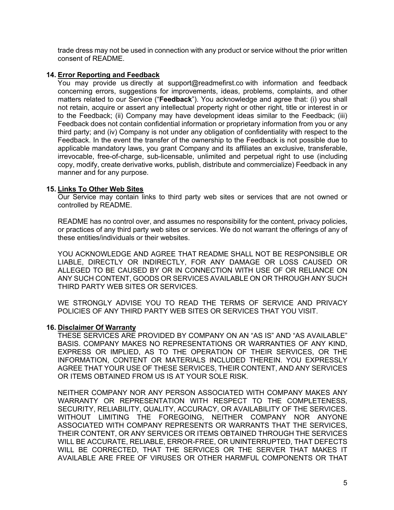trade dress may not be used in connection with any product or service without the prior written consent of README.

# **14. Error Reporting and Feedback**

You may provide us directly at support@readmefirst.co with information and feedback concerning errors, suggestions for improvements, ideas, problems, complaints, and other matters related to our Service ("**Feedback**"). You acknowledge and agree that: (i) you shall not retain, acquire or assert any intellectual property right or other right, title or interest in or to the Feedback; (ii) Company may have development ideas similar to the Feedback; (iii) Feedback does not contain confidential information or proprietary information from you or any third party; and (iv) Company is not under any obligation of confidentiality with respect to the Feedback. In the event the transfer of the ownership to the Feedback is not possible due to applicable mandatory laws, you grant Company and its affiliates an exclusive, transferable, irrevocable, free-of-charge, sub-licensable, unlimited and perpetual right to use (including copy, modify, create derivative works, publish, distribute and commercialize) Feedback in any manner and for any purpose.

## **15. Links To Other Web Sites**

Our Service may contain links to third party web sites or services that are not owned or controlled by README.

README has no control over, and assumes no responsibility for the content, privacy policies, or practices of any third party web sites or services. We do not warrant the offerings of any of these entities/individuals or their websites.

YOU ACKNOWLEDGE AND AGREE THAT README SHALL NOT BE RESPONSIBLE OR LIABLE, DIRECTLY OR INDIRECTLY, FOR ANY DAMAGE OR LOSS CAUSED OR ALLEGED TO BE CAUSED BY OR IN CONNECTION WITH USE OF OR RELIANCE ON ANY SUCH CONTENT, GOODS OR SERVICES AVAILABLE ON OR THROUGH ANY SUCH THIRD PARTY WEB SITES OR SERVICES.

WE STRONGLY ADVISE YOU TO READ THE TERMS OF SERVICE AND PRIVACY POLICIES OF ANY THIRD PARTY WEB SITES OR SERVICES THAT YOU VISIT.

#### **16. Disclaimer Of Warranty**

THESE SERVICES ARE PROVIDED BY COMPANY ON AN "AS IS" AND "AS AVAILABLE" BASIS. COMPANY MAKES NO REPRESENTATIONS OR WARRANTIES OF ANY KIND, EXPRESS OR IMPLIED, AS TO THE OPERATION OF THEIR SERVICES, OR THE INFORMATION, CONTENT OR MATERIALS INCLUDED THEREIN. YOU EXPRESSLY AGREE THAT YOUR USE OF THESE SERVICES, THEIR CONTENT, AND ANY SERVICES OR ITEMS OBTAINED FROM US IS AT YOUR SOLE RISK.

NEITHER COMPANY NOR ANY PERSON ASSOCIATED WITH COMPANY MAKES ANY WARRANTY OR REPRESENTATION WITH RESPECT TO THE COMPLETENESS, SECURITY, RELIABILITY, QUALITY, ACCURACY, OR AVAILABILITY OF THE SERVICES. WITHOUT LIMITING THE FOREGOING, NEITHER COMPANY NOR ANYONE ASSOCIATED WITH COMPANY REPRESENTS OR WARRANTS THAT THE SERVICES, THEIR CONTENT, OR ANY SERVICES OR ITEMS OBTAINED THROUGH THE SERVICES WILL BE ACCURATE, RELIABLE, ERROR-FREE, OR UNINTERRUPTED, THAT DEFECTS WILL BE CORRECTED, THAT THE SERVICES OR THE SERVER THAT MAKES IT AVAILABLE ARE FREE OF VIRUSES OR OTHER HARMFUL COMPONENTS OR THAT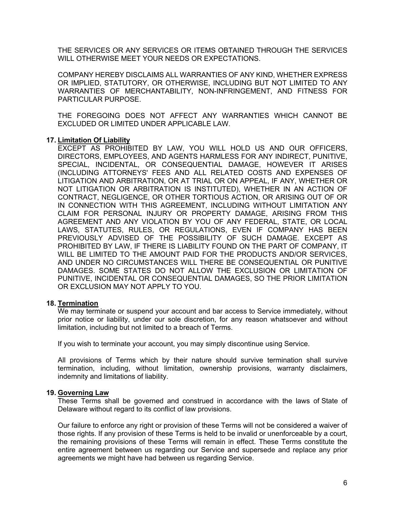THE SERVICES OR ANY SERVICES OR ITEMS OBTAINED THROUGH THE SERVICES WILL OTHERWISE MEET YOUR NEEDS OR EXPECTATIONS.

COMPANY HEREBY DISCLAIMS ALL WARRANTIES OF ANY KIND, WHETHER EXPRESS OR IMPLIED, STATUTORY, OR OTHERWISE, INCLUDING BUT NOT LIMITED TO ANY WARRANTIES OF MERCHANTABILITY, NON-INFRINGEMENT, AND FITNESS FOR PARTICULAR PURPOSE.

THE FOREGOING DOES NOT AFFECT ANY WARRANTIES WHICH CANNOT BE EXCLUDED OR LIMITED UNDER APPLICABLE LAW.

# **17. Limitation Of Liability**

EXCEPT AS PROHIBITED BY LAW, YOU WILL HOLD US AND OUR OFFICERS, DIRECTORS, EMPLOYEES, AND AGENTS HARMLESS FOR ANY INDIRECT, PUNITIVE, SPECIAL, INCIDENTAL, OR CONSEQUENTIAL DAMAGE, HOWEVER IT ARISES (INCLUDING ATTORNEYS' FEES AND ALL RELATED COSTS AND EXPENSES OF LITIGATION AND ARBITRATION, OR AT TRIAL OR ON APPEAL, IF ANY, WHETHER OR NOT LITIGATION OR ARBITRATION IS INSTITUTED), WHETHER IN AN ACTION OF CONTRACT, NEGLIGENCE, OR OTHER TORTIOUS ACTION, OR ARISING OUT OF OR IN CONNECTION WITH THIS AGREEMENT, INCLUDING WITHOUT LIMITATION ANY CLAIM FOR PERSONAL INJURY OR PROPERTY DAMAGE, ARISING FROM THIS AGREEMENT AND ANY VIOLATION BY YOU OF ANY FEDERAL, STATE, OR LOCAL LAWS, STATUTES, RULES, OR REGULATIONS, EVEN IF COMPANY HAS BEEN PREVIOUSLY ADVISED OF THE POSSIBILITY OF SUCH DAMAGE. EXCEPT AS PROHIBITED BY LAW, IF THERE IS LIABILITY FOUND ON THE PART OF COMPANY, IT WILL BE LIMITED TO THE AMOUNT PAID FOR THE PRODUCTS AND/OR SERVICES, AND UNDER NO CIRCUMSTANCES WILL THERE BE CONSEQUENTIAL OR PUNITIVE DAMAGES. SOME STATES DO NOT ALLOW THE EXCLUSION OR LIMITATION OF PUNITIVE, INCIDENTAL OR CONSEQUENTIAL DAMAGES, SO THE PRIOR LIMITATION OR EXCLUSION MAY NOT APPLY TO YOU.

#### **18. Termination**

We may terminate or suspend your account and bar access to Service immediately, without prior notice or liability, under our sole discretion, for any reason whatsoever and without limitation, including but not limited to a breach of Terms.

If you wish to terminate your account, you may simply discontinue using Service.

All provisions of Terms which by their nature should survive termination shall survive termination, including, without limitation, ownership provisions, warranty disclaimers, indemnity and limitations of liability.

#### **19. Governing Law**

These Terms shall be governed and construed in accordance with the laws of State of Delaware without regard to its conflict of law provisions.

Our failure to enforce any right or provision of these Terms will not be considered a waiver of those rights. If any provision of these Terms is held to be invalid or unenforceable by a court, the remaining provisions of these Terms will remain in effect. These Terms constitute the entire agreement between us regarding our Service and supersede and replace any prior agreements we might have had between us regarding Service.